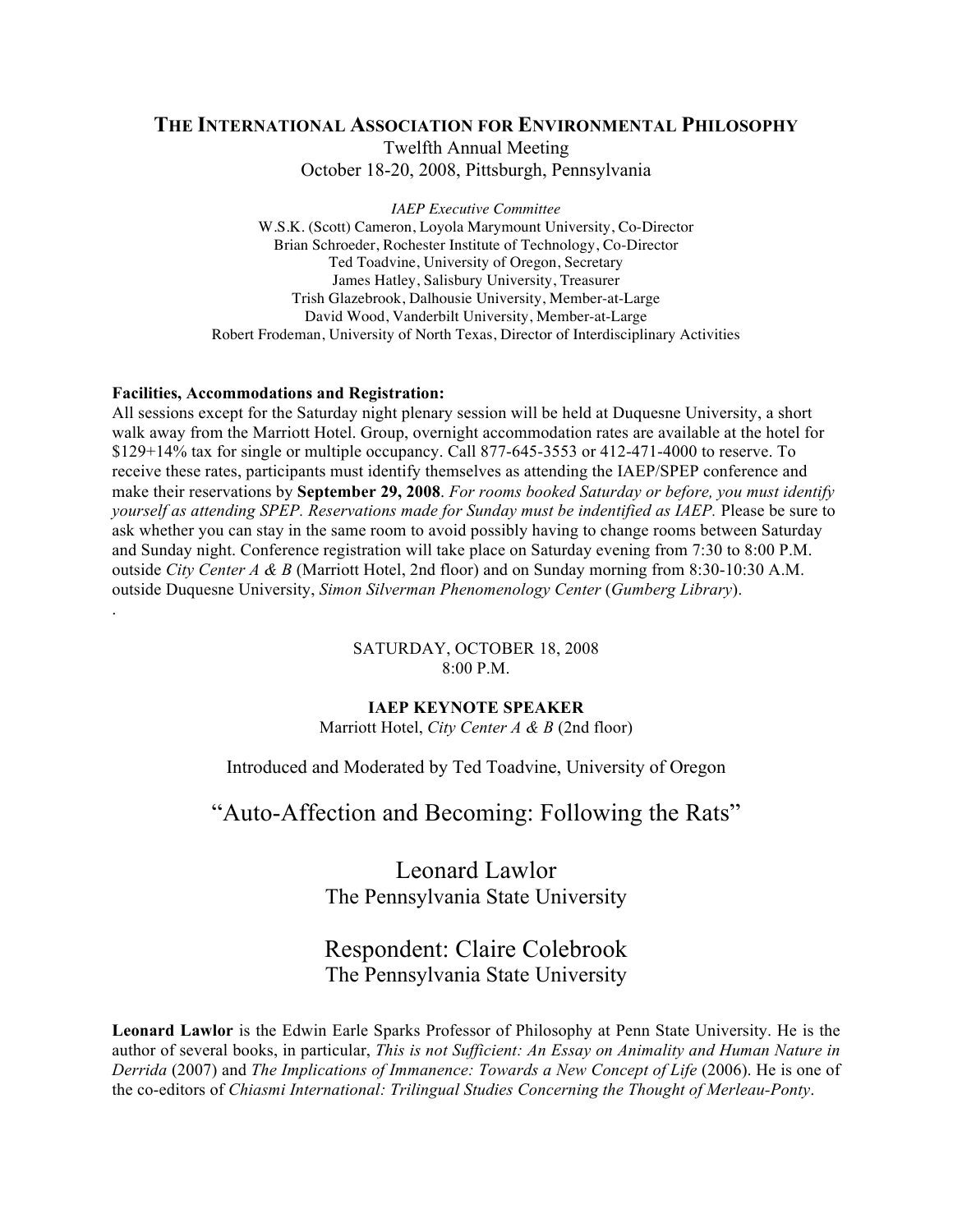# **THE INTERNATIONAL ASSOCIATION FOR ENVIRONMENTAL PHILOSOPHY** Twelfth Annual Meeting October 18-20, 2008, Pittsburgh, Pennsylvania

*IAEP Executive Committee* W.S.K. (Scott) Cameron, Loyola Marymount University, Co-Director Brian Schroeder, Rochester Institute of Technology, Co-Director Ted Toadvine, University of Oregon, Secretary James Hatley, Salisbury University, Treasurer Trish Glazebrook, Dalhousie University, Member-at-Large David Wood, Vanderbilt University, Member-at-Large Robert Frodeman, University of North Texas, Director of Interdisciplinary Activities

## **Facilities, Accommodations and Registration:**

.

All sessions except for the Saturday night plenary session will be held at Duquesne University, a short walk away from the Marriott Hotel. Group, overnight accommodation rates are available at the hotel for \$129+14% tax for single or multiple occupancy. Call 877-645-3553 or 412-471-4000 to reserve. To receive these rates, participants must identify themselves as attending the IAEP/SPEP conference and make their reservations by **September 29, 2008**. *For rooms booked Saturday or before, you must identify yourself as attending SPEP. Reservations made for Sunday must be indentified as IAEP.* Please be sure to ask whether you can stay in the same room to avoid possibly having to change rooms between Saturday and Sunday night. Conference registration will take place on Saturday evening from 7:30 to 8:00 P.M. outside *City Center A & B* (Marriott Hotel, 2nd floor) and on Sunday morning from 8:30-10:30 A.M. outside Duquesne University, *Simon Silverman Phenomenology Center* (*Gumberg Library*).

> SATURDAY, OCTOBER 18, 2008 8:00 P.M.

# **IAEP KEYNOTE SPEAKER**

Marriott Hotel, *City Center A & B* (2nd floor)

Introduced and Moderated by Ted Toadvine, University of Oregon

"Auto-Affection and Becoming: Following the Rats"

Leonard Lawlor The Pennsylvania State University

# Respondent: Claire Colebrook The Pennsylvania State University

**Leonard Lawlor** is the Edwin Earle Sparks Professor of Philosophy at Penn State University. He is the author of several books, in particular, *This is not Sufficient: An Essay on Animality and Human Nature in Derrida* (2007) and *The Implications of Immanence: Towards a New Concept of Life* (2006). He is one of the co-editors of *Chiasmi International: Trilingual Studies Concerning the Thought of Merleau-Ponty*.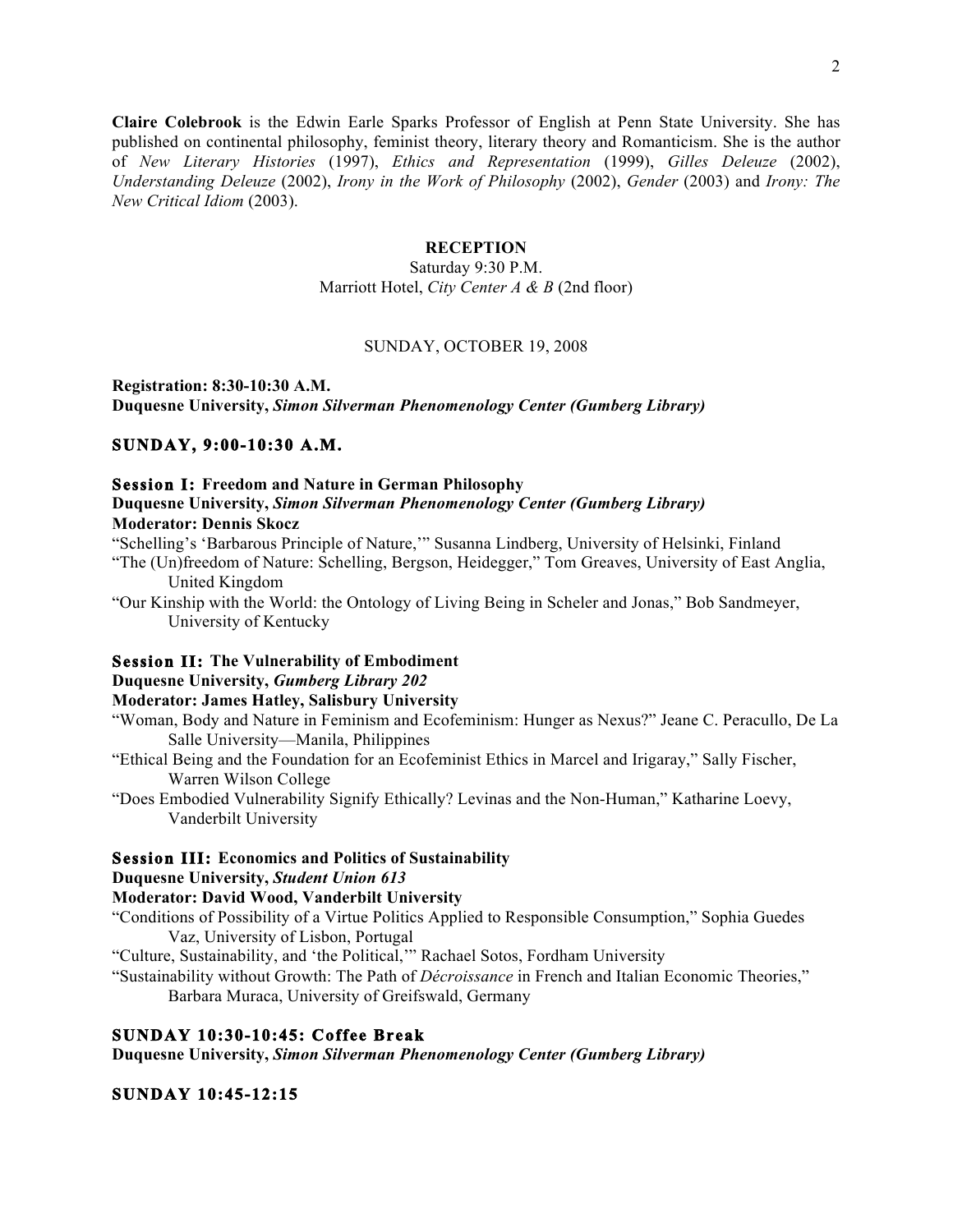**Claire Colebrook** is the Edwin Earle Sparks Professor of English at Penn State University. She has published on continental philosophy, feminist theory, literary theory and Romanticism. She is the author of *New Literary Histories* (1997), *Ethics and Representation* (1999), *Gilles Deleuze* (2002), *Understanding Deleuze* (2002), *Irony in the Work of Philosophy* (2002), *Gender* (2003) and *Irony: The New Critical Idiom* (2003).

# **RECEPTION**

Saturday 9:30 P.M. Marriott Hotel, *City Center A & B* (2nd floor)

#### SUNDAY, OCTOBER 19, 2008

**Registration: 8:30-10:30 A.M. Duquesne University,** *Simon Silverman Phenomenology Center (Gumberg Library)*

## **SUNDAY, 9:00-10:30 A.M.**

#### **Session I: Freedom and Nature in German Philosophy Duquesne University,** *Simon Silverman Phenomenology Center (Gumberg Library)* **Moderator: Dennis Skocz**

"Schelling's 'Barbarous Principle of Nature,'" Susanna Lindberg, University of Helsinki, Finland

- "The (Un)freedom of Nature: Schelling, Bergson, Heidegger," Tom Greaves, University of East Anglia, United Kingdom
- "Our Kinship with the World: the Ontology of Living Being in Scheler and Jonas," Bob Sandmeyer, University of Kentucky

#### **Session II: The Vulnerability of Embodiment**

# **Duquesne University,** *Gumberg Library 202*

## **Moderator: James Hatley, Salisbury University**

- "Woman, Body and Nature in Feminism and Ecofeminism: Hunger as Nexus?" Jeane C. Peracullo, De La Salle University—Manila, Philippines
- "Ethical Being and the Foundation for an Ecofeminist Ethics in Marcel and Irigaray," Sally Fischer, Warren Wilson College
- "Does Embodied Vulnerability Signify Ethically? Levinas and the Non-Human," Katharine Loevy, Vanderbilt University

#### **Session III: Economics and Politics of Sustainability**

## **Duquesne University,** *Student Union 613*

# **Moderator: David Wood, Vanderbilt University**

- "Conditions of Possibility of a Virtue Politics Applied to Responsible Consumption," Sophia Guedes Vaz, University of Lisbon, Portugal
- "Culture, Sustainability, and 'the Political,'" Rachael Sotos, Fordham University
- "Sustainability without Growth: The Path of *Décroissance* in French and Italian Economic Theories," Barbara Muraca, University of Greifswald, Germany

# **SUNDAY 10:30-10:45: Coffee Break**

**Duquesne University,** *Simon Silverman Phenomenology Center (Gumberg Library)*

# **SUNDAY 10:45-12:15**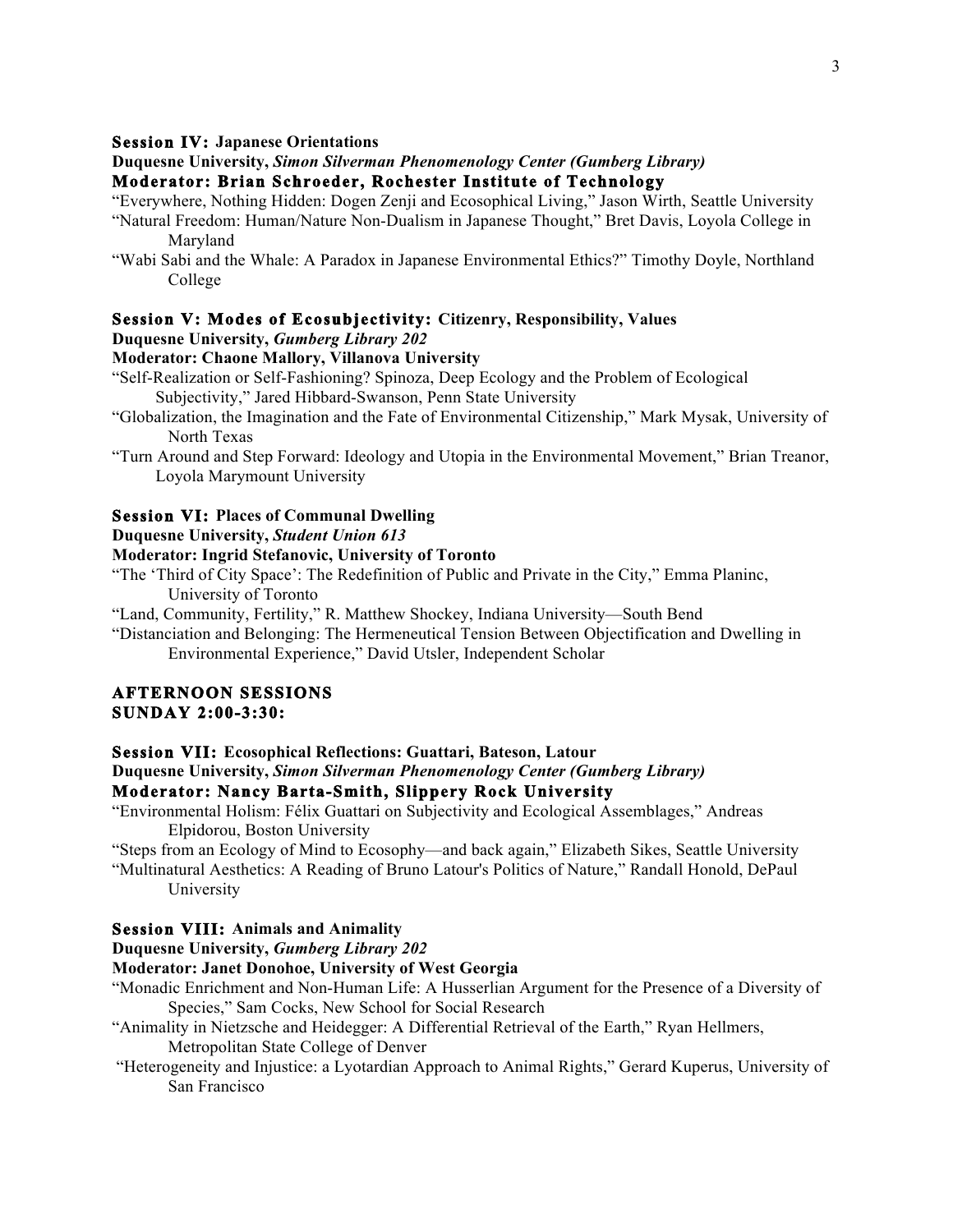## **Session IV: Japanese Orientations**

#### **Duquesne University,** *Simon Silverman Phenomenology Center (Gumberg Library)* **Moderator: Brian Schroeder, Rochester Institute of Technology**

"Everywhere, Nothing Hidden: Dogen Zenji and Ecosophical Living," Jason Wirth, Seattle University

- "Natural Freedom: Human/Nature Non-Dualism in Japanese Thought," Bret Davis, Loyola College in Maryland
- "Wabi Sabi and the Whale: A Paradox in Japanese Environmental Ethics?" Timothy Doyle, Northland College

# **Session V: Modes of Ecosubjectivity: Citizenry, Responsibility, Values**

#### **Duquesne University,** *Gumberg Library 202*

# **Moderator: Chaone Mallory, Villanova University**

- "Self-Realization or Self-Fashioning? Spinoza, Deep Ecology and the Problem of Ecological Subjectivity," Jared Hibbard-Swanson, Penn State University
- "Globalization, the Imagination and the Fate of Environmental Citizenship," Mark Mysak, University of North Texas
- "Turn Around and Step Forward: Ideology and Utopia in the Environmental Movement," Brian Treanor, Loyola Marymount University

#### **Session VI: Places of Communal Dwelling**

**Duquesne University,** *Student Union 613*

## **Moderator: Ingrid Stefanovic, University of Toronto**

"The 'Third of City Space': The Redefinition of Public and Private in the City," Emma Planinc, University of Toronto

"Land, Community, Fertility," R. Matthew Shockey, Indiana University—South Bend

"Distanciation and Belonging: The Hermeneutical Tension Between Objectification and Dwelling in Environmental Experience," David Utsler, Independent Scholar

# **AFTERNOON SESSIONS SUNDAY 2:00-3:30:**

#### **Session VII: Ecosophical Reflections: Guattari, Bateson, Latour**

**Duquesne University,** *Simon Silverman Phenomenology Center (Gumberg Library)*

# **Moderator: Nancy Barta-Smith, Slippery Rock University**

- "Environmental Holism: Félix Guattari on Subjectivity and Ecological Assemblages," Andreas Elpidorou, Boston University
- "Steps from an Ecology of Mind to Ecosophy—and back again," Elizabeth Sikes, Seattle University

"Multinatural Aesthetics: A Reading of Bruno Latour's Politics of Nature," Randall Honold, DePaul University

#### **Session VIII: Animals and Animality**

**Duquesne University,** *Gumberg Library 202*

#### **Moderator: Janet Donohoe, University of West Georgia**

- "Monadic Enrichment and Non-Human Life: A Husserlian Argument for the Presence of a Diversity of Species," Sam Cocks, New School for Social Research
- "Animality in Nietzsche and Heidegger: A Differential Retrieval of the Earth," Ryan Hellmers, Metropolitan State College of Denver
- "Heterogeneity and Injustice: a Lyotardian Approach to Animal Rights," Gerard Kuperus, University of San Francisco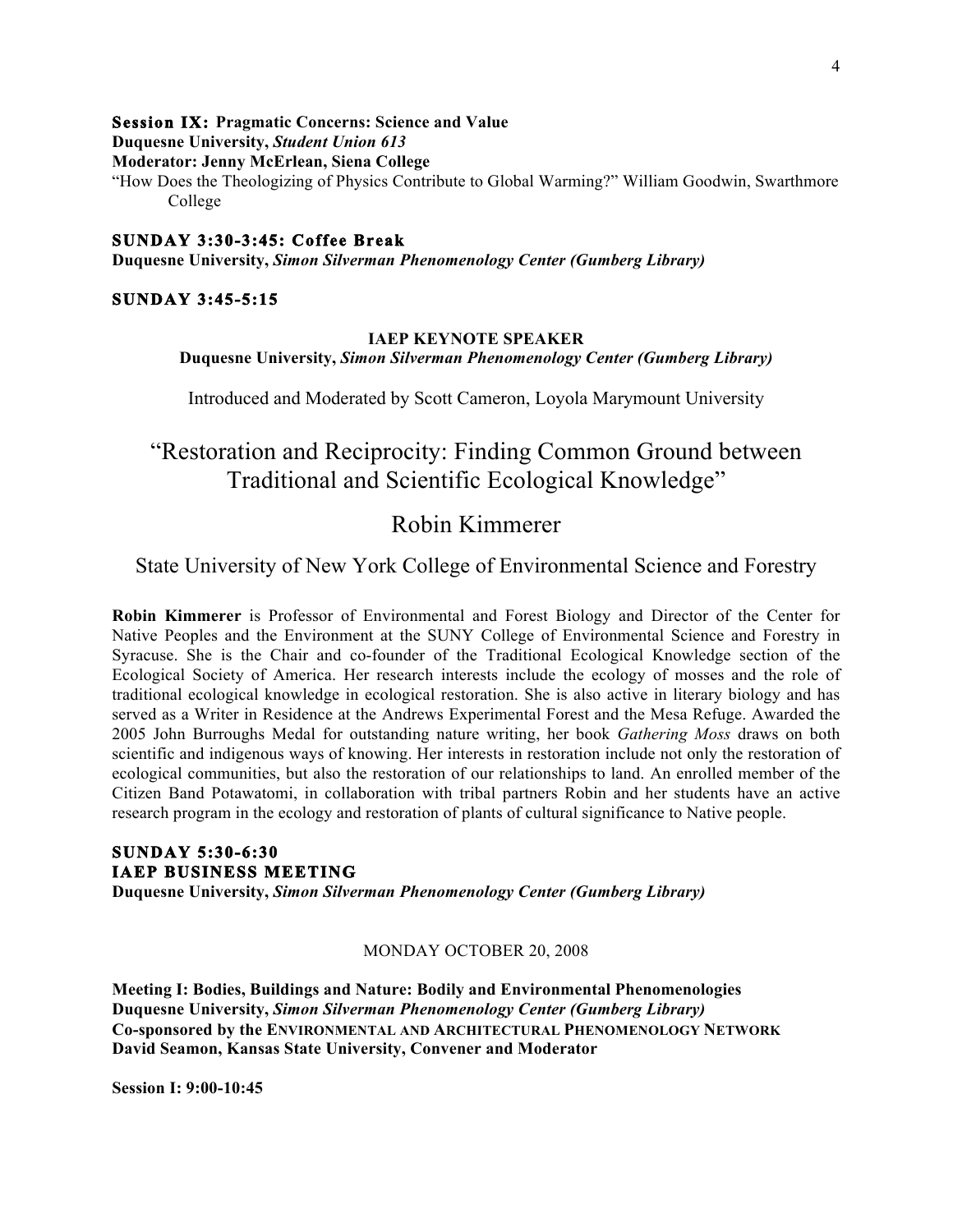#### **Session IX: Pragmatic Concerns: Science and Value**

**Duquesne University,** *Student Union 613*

**Moderator: Jenny McErlean, Siena College**

"How Does the Theologizing of Physics Contribute to Global Warming?" William Goodwin, Swarthmore College

# **SUNDAY 3:30-3:45: Coffee Break**

**Duquesne University,** *Simon Silverman Phenomenology Center (Gumberg Library)*

#### **SUNDAY 3:45-5:15**

#### **IAEP KEYNOTE SPEAKER**

**Duquesne University,** *Simon Silverman Phenomenology Center (Gumberg Library)*

Introduced and Moderated by Scott Cameron, Loyola Marymount University

# "Restoration and Reciprocity: Finding Common Ground between Traditional and Scientific Ecological Knowledge"

# Robin Kimmerer

State University of New York College of Environmental Science and Forestry

**Robin Kimmerer** is Professor of Environmental and Forest Biology and Director of the Center for Native Peoples and the Environment at the SUNY College of Environmental Science and Forestry in Syracuse. She is the Chair and co-founder of the Traditional Ecological Knowledge section of the Ecological Society of America. Her research interests include the ecology of mosses and the role of traditional ecological knowledge in ecological restoration. She is also active in literary biology and has served as a Writer in Residence at the Andrews Experimental Forest and the Mesa Refuge. Awarded the 2005 John Burroughs Medal for outstanding nature writing, her book *Gathering Moss* draws on both scientific and indigenous ways of knowing. Her interests in restoration include not only the restoration of ecological communities, but also the restoration of our relationships to land. An enrolled member of the Citizen Band Potawatomi, in collaboration with tribal partners Robin and her students have an active research program in the ecology and restoration of plants of cultural significance to Native people.

# **SUNDAY 5:30-6:30 IAEP BUSINESS MEETING**

**Duquesne University,** *Simon Silverman Phenomenology Center (Gumberg Library)*

#### MONDAY OCTOBER 20, 2008

**Meeting I: Bodies, Buildings and Nature: Bodily and Environmental Phenomenologies Duquesne University,** *Simon Silverman Phenomenology Center (Gumberg Library)* **Co-sponsored by the ENVIRONMENTAL AND ARCHITECTURAL PHENOMENOLOGY NETWORK David Seamon, Kansas State University, Convener and Moderator**

**Session I: 9:00-10:45**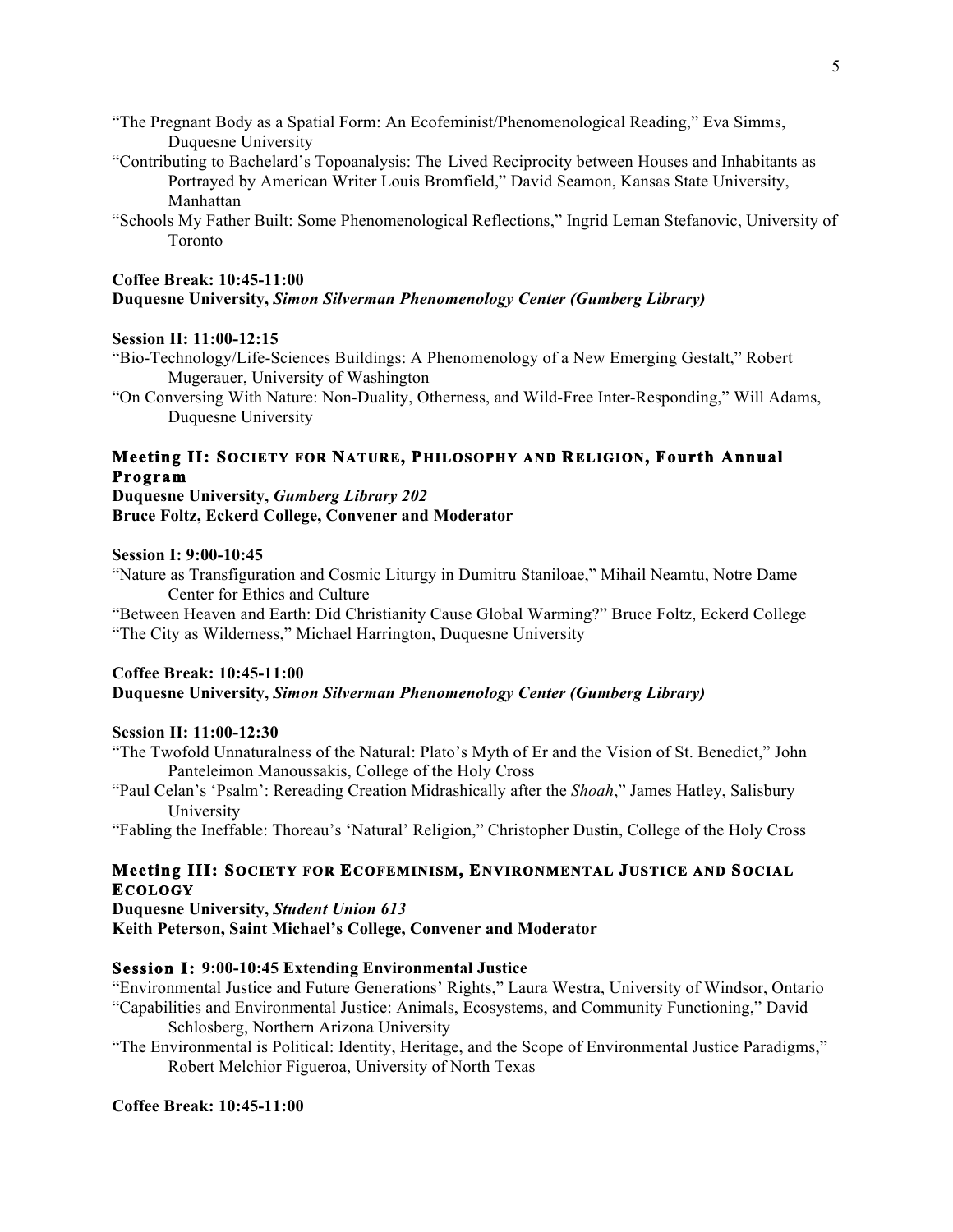- "The Pregnant Body as a Spatial Form: An Ecofeminist/Phenomenological Reading," Eva Simms, Duquesne University
- "Contributing to Bachelard's Topoanalysis: The Lived Reciprocity between Houses and Inhabitants as Portrayed by American Writer Louis Bromfield," David Seamon, Kansas State University, Manhattan
- "Schools My Father Built: Some Phenomenological Reflections," Ingrid Leman Stefanovic, University of Toronto

#### **Coffee Break: 10:45-11:00 Duquesne University,** *Simon Silverman Phenomenology Center (Gumberg Library)*

#### **Session II: 11:00-12:15**

- "Bio-Technology/Life-Sciences Buildings: A Phenomenology of a New Emerging Gestalt," Robert Mugerauer, University of Washington
- "On Conversing With Nature: Non-Duality, Otherness, and Wild-Free Inter-Responding," Will Adams, Duquesne University

# **Meeting II: SOCIETY FOR NATURE, PHILOSOPHY AND RELIGION, Fourth Annual Program**

### **Duquesne University,** *Gumberg Library 202* **Bruce Foltz, Eckerd College, Convener and Moderator**

#### **Session I: 9:00-10:45**

"Nature as Transfiguration and Cosmic Liturgy in Dumitru Staniloae," Mihail Neamtu, Notre Dame Center for Ethics and Culture

"Between Heaven and Earth: Did Christianity Cause Global Warming?" Bruce Foltz, Eckerd College "The City as Wilderness," Michael Harrington, Duquesne University

### **Coffee Break: 10:45-11:00 Duquesne University,** *Simon Silverman Phenomenology Center (Gumberg Library)*

#### **Session II: 11:00-12:30**

- "The Twofold Unnaturalness of the Natural: Plato's Myth of Er and the Vision of St. Benedict," John Panteleimon Manoussakis, College of the Holy Cross
- "Paul Celan's 'Psalm': Rereading Creation Midrashically after the *Shoah*," James Hatley, Salisbury University

"Fabling the Ineffable: Thoreau's 'Natural' Religion," Christopher Dustin, College of the Holy Cross

## **Meeting III: SOCIETY FOR ECOFEMINISM, ENVIRONMENTAL JUSTICE AND SOCIAL ECOLOGY**

**Duquesne University,** *Student Union 613* **Keith Peterson, Saint Michael's College, Convener and Moderator**

#### **Session I: 9:00-10:45 Extending Environmental Justice**

"Environmental Justice and Future Generations' Rights," Laura Westra, University of Windsor, Ontario "Capabilities and Environmental Justice: Animals, Ecosystems, and Community Functioning," David

Schlosberg, Northern Arizona University

"The Environmental is Political: Identity, Heritage, and the Scope of Environmental Justice Paradigms," Robert Melchior Figueroa, University of North Texas

## **Coffee Break: 10:45-11:00**